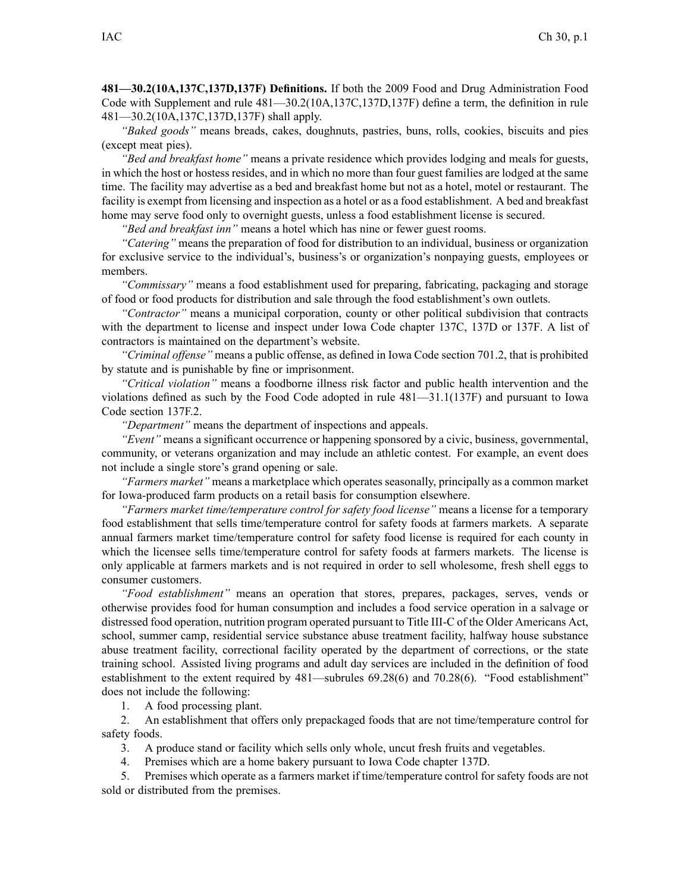**481—30.2(10A,137C,137D,137F) Definitions.** If both the 2009 Food and Drug Administration Food Code with Supplement and rule [481—30.2](https://www.legis.iowa.gov/docs/iac/rule/481.30.2.pdf)(10A,137C,137D,137F) define <sup>a</sup> term, the definition in rule [481—30.2](https://www.legis.iowa.gov/docs/iac/rule/481.30.2.pdf)(10A,137C,137D,137F) shall apply.

*"Baked goods"* means breads, cakes, doughnuts, pastries, buns, rolls, cookies, biscuits and pies (except meat pies).

*"Bed and breakfast home"* means <sup>a</sup> private residence which provides lodging and meals for guests, in which the host or hostess resides, and in which no more than four gues<sup>t</sup> families are lodged at the same time. The facility may advertise as <sup>a</sup> bed and breakfast home but not as <sup>a</sup> hotel, motel or restaurant. The facility is exemp<sup>t</sup> from licensing and inspection as <sup>a</sup> hotel or as <sup>a</sup> food establishment. A bed and breakfast home may serve food only to overnight guests, unless <sup>a</sup> food establishment license is secured.

*"Bed and breakfast inn"* means <sup>a</sup> hotel which has nine or fewer gues<sup>t</sup> rooms.

*"Catering"* means the preparation of food for distribution to an individual, business or organization for exclusive service to the individual's, business's or organization's nonpaying guests, employees or members.

*"Commissary"* means <sup>a</sup> food establishment used for preparing, fabricating, packaging and storage of food or food products for distribution and sale through the food establishment's own outlets.

*"Contractor"* means <sup>a</sup> municipal corporation, county or other political subdivision that contracts with the department to license and inspect under Iowa Code chapter [137C](https://www.legis.iowa.gov/docs/ico/chapter/137C.pdf), [137D](https://www.legis.iowa.gov/docs/ico/chapter/137D.pdf) or [137F](https://www.legis.iowa.gov/docs/ico/chapter/137F.pdf). A list of contractors is maintained on the department's website.

*"Criminal offense"* means <sup>a</sup> public offense, as defined in Iowa Code section [701.2](https://www.legis.iowa.gov/docs/ico/section/701.2.pdf), that is prohibited by statute and is punishable by fine or imprisonment.

*"Critical violation"* means <sup>a</sup> foodborne illness risk factor and public health intervention and the violations defined as such by the Food Code adopted in rule [481—31.1](https://www.legis.iowa.gov/docs/iac/rule/481.31.1.pdf)(137F) and pursuan<sup>t</sup> to Iowa Code section [137F.2](https://www.legis.iowa.gov/docs/ico/section/137F.2.pdf).

*"Department"* means the department of inspections and appeals.

*"Event"* means <sup>a</sup> significant occurrence or happening sponsored by <sup>a</sup> civic, business, governmental, community, or veterans organization and may include an athletic contest. For example, an event does not include <sup>a</sup> single store's grand opening or sale.

*"Farmers market"* means <sup>a</sup> marketplace which operates seasonally, principally as <sup>a</sup> common market for Iowa-produced farm products on <sup>a</sup> retail basis for consumption elsewhere.

*"Farmers market time/temperature control for safety food license"* means <sup>a</sup> license for <sup>a</sup> temporary food establishment that sells time/temperature control for safety foods at farmers markets. A separate annual farmers market time/temperature control for safety food license is required for each county in which the licensee sells time/temperature control for safety foods at farmers markets. The license is only applicable at farmers markets and is not required in order to sell wholesome, fresh shell eggs to consumer customers.

*"Food establishment"* means an operation that stores, prepares, packages, serves, vends or otherwise provides food for human consumption and includes <sup>a</sup> food service operation in <sup>a</sup> salvage or distressed food operation, nutrition program operated pursuan<sup>t</sup> to Title III-C of the Older Americans Act, school, summer camp, residential service substance abuse treatment facility, halfway house substance abuse treatment facility, correctional facility operated by the department of corrections, or the state training school. Assisted living programs and adult day services are included in the definition of food establishment to the extent required by [481—subrules](https://www.legis.iowa.gov/docs/iac/rule/481.69.28.pdf) 69.28(6) and [70.28\(6\)](https://www.legis.iowa.gov/docs/iac/rule/481.70.28.pdf). "Food establishment" does not include the following:

1. A food processing plant.

2. An establishment that offers only prepackaged foods that are not time/temperature control for safety foods.

3. A produce stand or facility which sells only whole, uncut fresh fruits and vegetables.

4. Premises which are <sup>a</sup> home bakery pursuan<sup>t</sup> to Iowa Code chapter [137D](https://www.legis.iowa.gov/docs/ico/chapter/137D.pdf).

5. Premises which operate as <sup>a</sup> farmers market if time/temperature control for safety foods are not sold or distributed from the premises.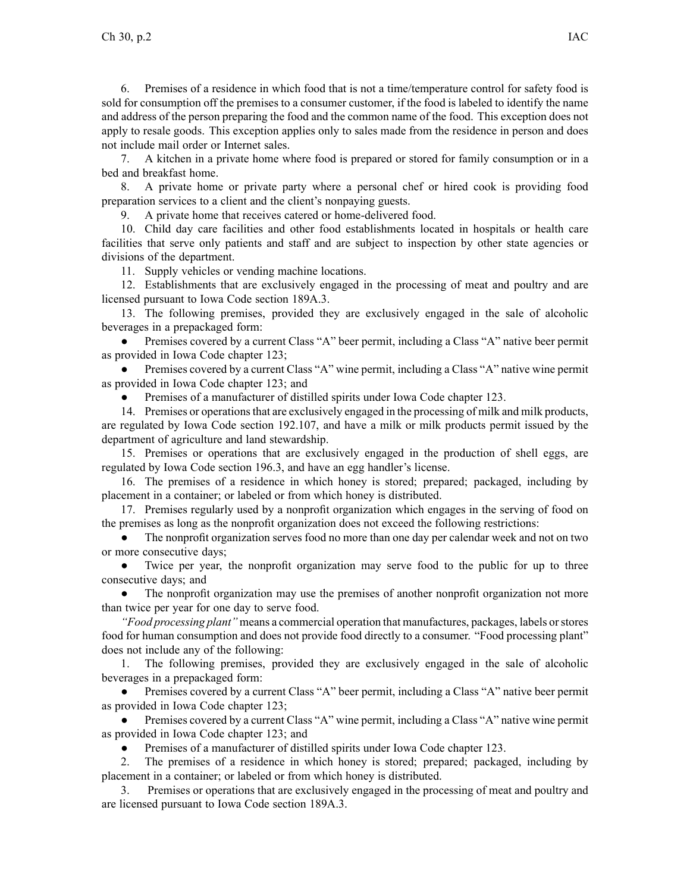6. Premises of <sup>a</sup> residence in which food that is not <sup>a</sup> time/temperature control for safety food is sold for consumption off the premises to <sup>a</sup> consumer customer, if the food is labeled to identify the name and address of the person preparing the food and the common name of the food. This exception does not apply to resale goods. This exception applies only to sales made from the residence in person and does not include mail order or Internet sales.

7. A kitchen in <sup>a</sup> private home where food is prepared or stored for family consumption or in <sup>a</sup> bed and breakfast home.

8. A private home or private party where <sup>a</sup> personal chef or hired cook is providing food preparation services to <sup>a</sup> client and the client's nonpaying guests.

9. A private home that receives catered or home-delivered food.

10. Child day care facilities and other food establishments located in hospitals or health care facilities that serve only patients and staff and are subject to inspection by other state agencies or divisions of the department.

11. Supply vehicles or vending machine locations.

12. Establishments that are exclusively engaged in the processing of meat and poultry and are licensed pursuan<sup>t</sup> to Iowa Code section [189A.3](https://www.legis.iowa.gov/docs/ico/section/189A.3.pdf).

13. The following premises, provided they are exclusively engaged in the sale of alcoholic beverages in <sup>a</sup> prepackaged form:

 $\bullet$  Premises covered by <sup>a</sup> current Class "A" beer permit, including <sup>a</sup> Class "A" native beer permit as provided in Iowa Code chapter [123](https://www.legis.iowa.gov/docs/ico/chapter/123.pdf);

● Premises covered by <sup>a</sup> current Class "A" wine permit, including <sup>a</sup> Class "A" native wine permit as provided in Iowa Code chapter [123](https://www.legis.iowa.gov/docs/ico/chapter/123.pdf); and

●Premises of <sup>a</sup> manufacturer of distilled spirits under Iowa Code chapter [123](https://www.legis.iowa.gov/docs/ico/chapter/123.pdf).

14. Premises or operationsthat are exclusively engaged in the processing of milk and milk products, are regulated by Iowa Code section [192.107](https://www.legis.iowa.gov/docs/ico/section/192.107.pdf), and have <sup>a</sup> milk or milk products permit issued by the department of agriculture and land stewardship.

15. Premises or operations that are exclusively engaged in the production of shell eggs, are regulated by Iowa Code section [196.3](https://www.legis.iowa.gov/docs/ico/section/196.3.pdf), and have an egg handler's license.

16. The premises of <sup>a</sup> residence in which honey is stored; prepared; packaged, including by placement in <sup>a</sup> container; or labeled or from which honey is distributed.

17. Premises regularly used by <sup>a</sup> nonprofit organization which engages in the serving of food on the premises as long as the nonprofit organization does not exceed the following restrictions:

● The nonprofit organization serves food no more than one day per calendar week and not on two or more consecutive days;

● Twice per year, the nonprofit organization may serve food to the public for up to three consecutive days; and

● The nonprofit organization may use the premises of another nonprofit organization not more than twice per year for one day to serve food.

*"Food processing plant"* means <sup>a</sup> commercial operation that manufactures, packages, labels orstores food for human consumption and does not provide food directly to <sup>a</sup> consumer. "Food processing plant" does not include any of the following:

1. The following premises, provided they are exclusively engaged in the sale of alcoholic beverages in <sup>a</sup> prepackaged form:

 $\bullet$  Premises covered by <sup>a</sup> current Class "A" beer permit, including <sup>a</sup> Class "A" native beer permit as provided in Iowa Code chapter [123](https://www.legis.iowa.gov/docs/ico/chapter/2017/123.pdf);

● Premises covered by <sup>a</sup> current Class "A" wine permit, including <sup>a</sup> Class "A" native wine permit as provided in Iowa Code chapter [123](https://www.legis.iowa.gov/docs/ico/chapter/2017/123.pdf); and

●Premises of <sup>a</sup> manufacturer of distilled spirits under Iowa Code chapter [123](https://www.legis.iowa.gov/docs/ico/chapter/2017/123.pdf).

2. The premises of <sup>a</sup> residence in which honey is stored; prepared; packaged, including by placement in <sup>a</sup> container; or labeled or from which honey is distributed.

3. Premises or operations that are exclusively engaged in the processing of meat and poultry and are licensed pursuan<sup>t</sup> to Iowa Code section [189A.3](https://www.legis.iowa.gov/docs/ico/section/2017/189A.3.pdf).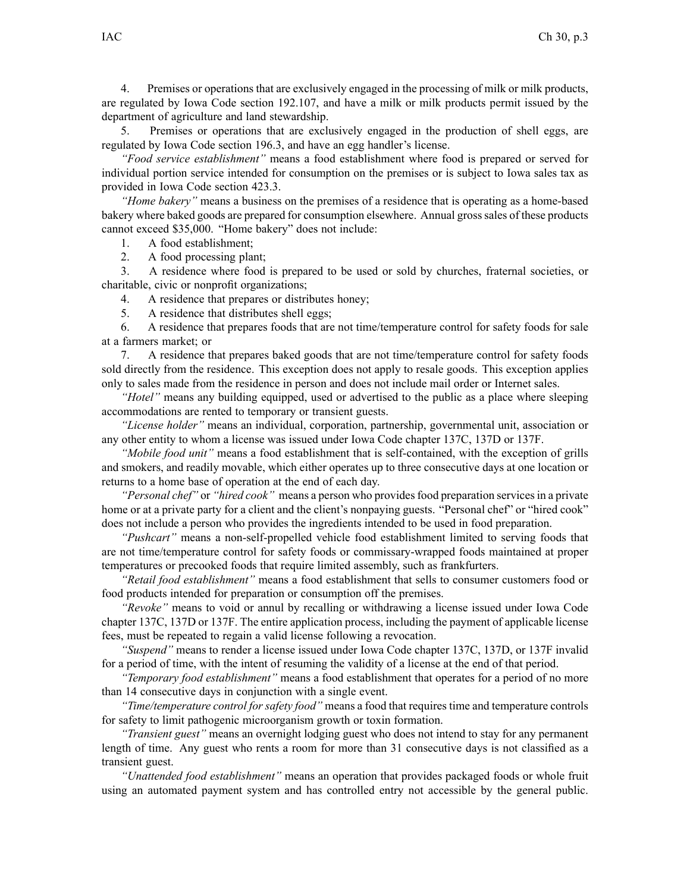4. Premises or operations that are exclusively engaged in the processing of milk or milk products, are regulated by Iowa Code section [192.107](https://www.legis.iowa.gov/docs/ico/section/2017/192.107.pdf), and have <sup>a</sup> milk or milk products permit issued by the department of agriculture and land stewardship.

5. Premises or operations that are exclusively engaged in the production of shell eggs, are regulated by Iowa Code section [196.3](https://www.legis.iowa.gov/docs/ico/section/2017/196.3.pdf), and have an egg handler's license.

*"Food service establishment"* means <sup>a</sup> food establishment where food is prepared or served for individual portion service intended for consumption on the premises or is subject to Iowa sales tax as provided in Iowa Code section [423.3](https://www.legis.iowa.gov/docs/ico/section/423.3.pdf).

*"Home bakery"* means <sup>a</sup> business on the premises of <sup>a</sup> residence that is operating as <sup>a</sup> home-based bakery where baked goods are prepared for consumption elsewhere. Annual grosssales of these products cannot exceed \$35,000. "Home bakery" does not include:

1. A food establishment;

2. A food processing plant;

3. A residence where food is prepared to be used or sold by churches, fraternal societies, or charitable, civic or nonprofit organizations;

4. A residence that prepares or distributes honey;

5. A residence that distributes shell eggs;

6. A residence that prepares foods that are not time/temperature control for safety foods for sale at <sup>a</sup> farmers market; or

7. A residence that prepares baked goods that are not time/temperature control for safety foods sold directly from the residence. This exception does not apply to resale goods. This exception applies only to sales made from the residence in person and does not include mail order or Internet sales.

*"Hotel"* means any building equipped, used or advertised to the public as <sup>a</sup> place where sleeping accommodations are rented to temporary or transient guests.

*"License holder"* means an individual, corporation, partnership, governmental unit, association or any other entity to whom <sup>a</sup> license was issued under Iowa Code chapter [137C](https://www.legis.iowa.gov/docs/ico/chapter/137C.pdf), [137D](https://www.legis.iowa.gov/docs/ico/chapter/137D.pdf) or [137F](https://www.legis.iowa.gov/docs/ico/chapter/137F.pdf).

*"Mobile food unit"* means <sup>a</sup> food establishment that is self-contained, with the exception of grills and smokers, and readily movable, which either operates up to three consecutive days at one location or returns to <sup>a</sup> home base of operation at the end of each day.

*"Personal chef"* or *"hired cook"* means a person who provides food preparation services in a private home or at a private party for a client and the client's nonpaying guests. "Personal chef" or "hired cook" does not include <sup>a</sup> person who provides the ingredients intended to be used in food preparation.

*"Pushcart"* means <sup>a</sup> non-self-propelled vehicle food establishment limited to serving foods that are not time/temperature control for safety foods or commissary-wrapped foods maintained at proper temperatures or precooked foods that require limited assembly, such as frankfurters.

*"Retail food establishment"* means <sup>a</sup> food establishment that sells to consumer customers food or food products intended for preparation or consumption off the premises.

*"Revoke"* means to void or annul by recalling or withdrawing <sup>a</sup> license issued under Iowa Code chapter [137C](https://www.legis.iowa.gov/docs/ico/chapter/137C.pdf), [137D](https://www.legis.iowa.gov/docs/ico/chapter/137D.pdf) or [137F](https://www.legis.iowa.gov/docs/ico/chapter/137F.pdf). The entire application process, including the paymen<sup>t</sup> of applicable license fees, must be repeated to regain <sup>a</sup> valid license following <sup>a</sup> revocation.

*"Suspend"* means to render <sup>a</sup> license issued under Iowa Code chapter [137C](https://www.legis.iowa.gov/docs/ico/chapter/137C.pdf), [137D](https://www.legis.iowa.gov/docs/ico/chapter/137D.pdf), or [137F](https://www.legis.iowa.gov/docs/ico/chapter/137F.pdf) invalid for <sup>a</sup> period of time, with the intent of resuming the validity of <sup>a</sup> license at the end of that period.

*"Temporary food establishment"* means <sup>a</sup> food establishment that operates for <sup>a</sup> period of no more than 14 consecutive days in conjunction with <sup>a</sup> single event.

*"Time/temperature control for safety food"* means <sup>a</sup> food that requires time and temperature controls for safety to limit pathogenic microorganism growth or toxin formation.

*"Transient guest"* means an overnight lodging gues<sup>t</sup> who does not intend to stay for any permanen<sup>t</sup> length of time. Any gues<sup>t</sup> who rents <sup>a</sup> room for more than 31 consecutive days is not classified as <sup>a</sup> transient guest.

*"Unattended food establishment"* means an operation that provides packaged foods or whole fruit using an automated paymen<sup>t</sup> system and has controlled entry not accessible by the general public.